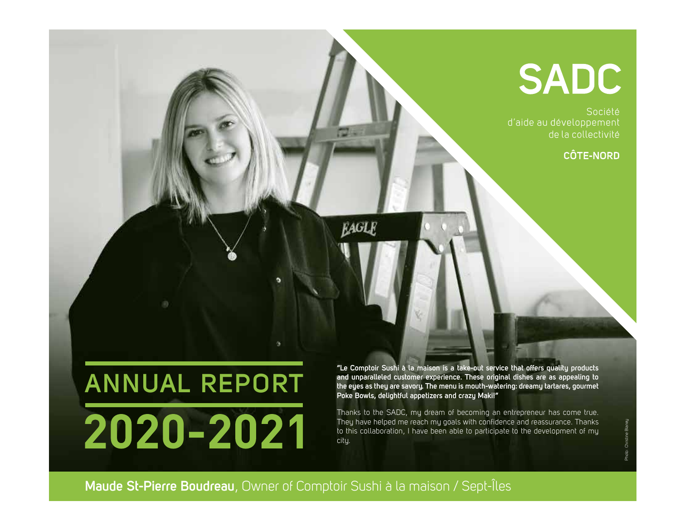# **SADC**

Société d'aide au développement de la collectivité

### **CÔTE-NORD**

# **ANNUAL REPORT**2020-2021

**"Le Comptoir Sushi à la maison is a take-out service that offers quality products and unparalleled customer experience. These original dishes are as appealing to the eyes as they are savory. The menu is mouth-watering: dreamy tartares, gourmet Poke Bowls, delightful appetizers and crazy Maki!"**

Thanks to the SADC, my dream of becoming an entrepreneur has come true. They have helped me reach my goals with confidence and reassurance. Thanks to this collaboration, I have been able to participate to the development of my city.

Photo : Christine Blaney

**Maude St-Pierre Boudreau**, Owner of Comptoir Sushi à la maison / Sept-Îles

**EAGLE**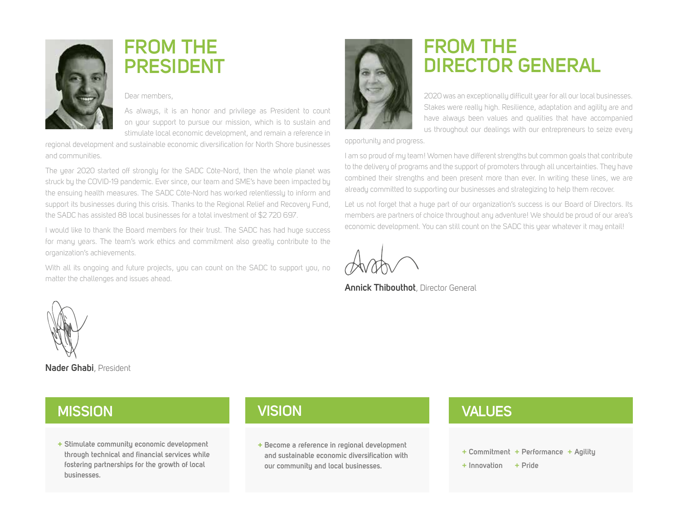

## **FROM THE PRESIDENT**

### Dear members,

As always, it is an honor and privilege as President to count on your support to pursue our mission, which is to sustain and stimulate local economic development, and remain a reference in

regional development and sustainable economic diversification for North Shore businesses and communities.

The year 2020 started off strongly for the SADC Côte-Nord, then the whole planet was struck by the COVID-19 pandemic. Ever since, our team and SME's have been impacted by the ensuing health measures. The SADC Côte-Nord has worked relentlessly to inform and support its businesses during this crisis. Thanks to the Regional Relief and Recovery Fund, the SADC has assisted 88 local businesses for a total investment of \$2 720 697.

I would like to thank the Board members for their trust. The SADC has had huge success for many years. The team's work ethics and commitment also greatly contribute to the organization's achievements.

With all its ongoing and future projects, you can count on the SADC to support you, no matter the challenges and issues ahead.



## **FROM THE DIRECTOR GENERAL**

2020 was an exceptionally difficult year for all our local businesses. Stakes were really high. Resilience, adaptation and agility are and have always been values and qualities that have accompanied us throughout our dealings with our entrepreneurs to seize every

opportunity and progress.

I am so proud of my team! Women have different strengths but common goals that contribute to the delivery of programs and the support of promoters through all uncertainties. They have combined their strengths and been present more than ever. In writing these lines, we are already committed to supporting our businesses and strategizing to help them recover.

Let us not forget that a huge part of our organization's success is our Board of Directors. Its members are partners of choice throughout any adventure! We should be proud of our area's economic development. You can still count on the SADC this year whatever it may entail!

**Annick Thibouthot**, Director General



**Nader Ghabi**, President

### **MISSION VISION VALUES**

**+ Stimulate community economic development through technical and financial services while fostering partnerships for the growth of local businesses.**

**+ Become a reference in regional development and sustainable economic diversification with our community and local businesses.**

- **+ Commitment + Performance + Agility**
- **+ Innovation + Pride**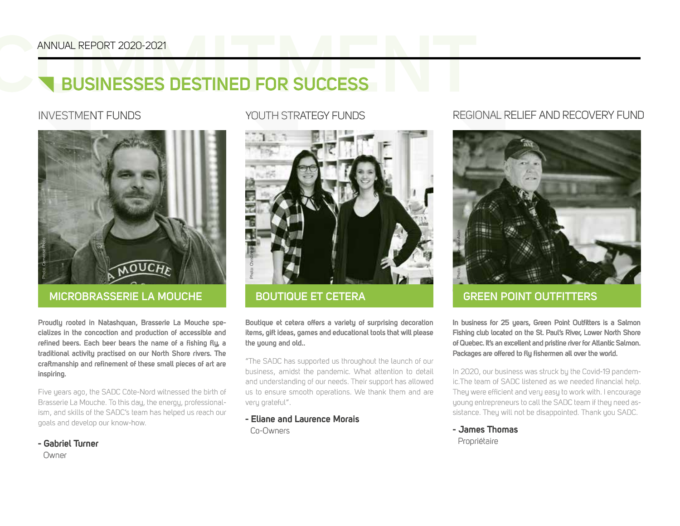# **COMMUNAL REPORT 2020-2021**<br> **COMMUNAL REPORT 2020-2021**<br> **COMMUNAL REPORT 2020-2021 BUSINESSES DESTINED FOR SUCCESS**



### **MICROBRASSERIE LA MOUCHE BOUTIQUE ET CETERA**

**Proudly rooted in Natashquan, Brasserie La Mouche specializes in the concoction and production of accessible and refined beers. Each beer bears the name of a fishing fly, a traditional activity practised on our North Shore rivers. The craftmanship and refinement of these small pieces of art are inspiring.**

Five years ago, the SADC Côte-Nord witnessed the birth of Brasserie La Mouche. To this day, the energy, professionalism, and skills of the SADC's team has helped us reach our goals and develop our know-how.

**- Gabriel Turner** 

Owner

### INVESTMENT FUNDS YOUTH STRATEGY FUNDS



**Boutique et cetera offers a variety of surprising decoration items, gift ideas, games and educational tools that will please the young and old..**

"The SADC has supported us throughout the launch of our business, amidst the pandemic. What attention to detail and understanding of our needs. Their support has allowed us to ensure smooth operations. We thank them and are very grateful".

**- Eliane and Laurence Morais** Co-Owners

### REGIONAL RELIEF AND RECOVERY FUND



### **GREEN POINT OUTFITTERS**

**In business for 25 years, Green Point Outfitters is a Salmon Fishing club located on the St. Paul's River, Lower North Shore of Quebec. It's an excellent and pristine river for Atlantic Salmon. Packages are offered to fly fishermen all over the world.** 

In 2020, our business was struck by the Covid-19 pandemic.The team of SADC listened as we needed financial help. They were efficient and very easy to work with. I encourage young entrepreneurs to call the SADC team if they need assistance. They will not be disappointed. Thank you SADC.

**- James Thomas** Propriétaire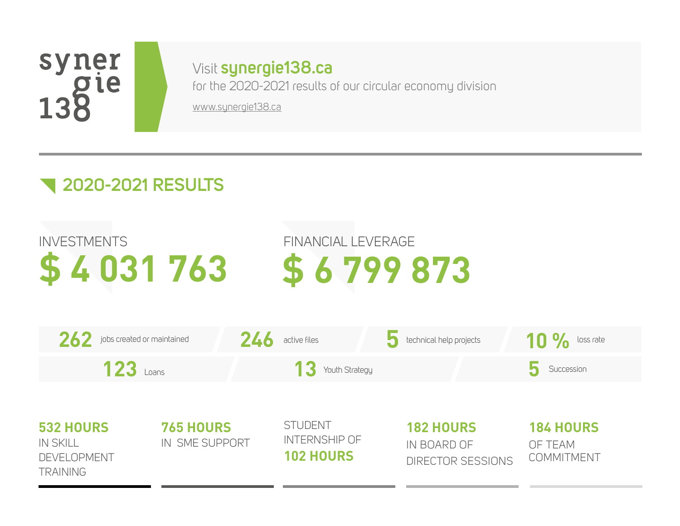## syner 138 le

## Visit **synergie138.ca**

for the 2020-2021 results of our circular economy division www.synergie138.ca

## **2020-2021 RESULTS**

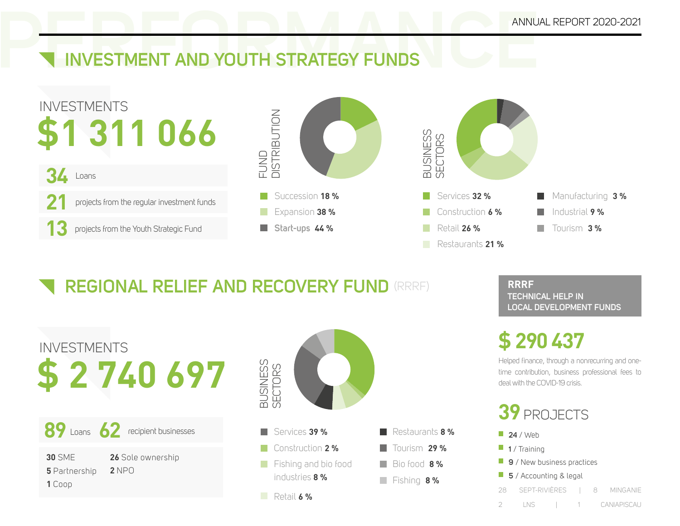# **PERFORMANCE ANNUAL REPORT 2020-2021**<br> **PERFORMANCE AND YOUTH STRATEGY FUNDS INVESTMENT AND YOUTH STRATEGY FUNDS**







## **REGIONAL RELIEF AND RECOVERY FUND** (RRRF)

| <b>INVESTMENTS</b><br>2740697                                                         |  |
|---------------------------------------------------------------------------------------|--|
| 89 Loans 62 recipient businesses                                                      |  |
| <b>30 SMF</b><br>26 Sole ownership<br>$2$ NP $\cap$<br><b>5</b> Partnership<br>1 Coop |  |



**RRRF TECHNICAL HELP IN LOCAL DEVELOPMENT FUNDS** 

## **\$ 290 437**

Helped finance, through a nonrecurring and onetime contribution, business professional fees to deal with the COVID-19 crisis.

- **39** PROJECTS
- **24** / Web **1** / Training **9** / New business practices **5** / Accounting & legal 28 SEPT-RIVIÈRES | 8 MINGANIE 2 LNS | 1 CANIAPISCAU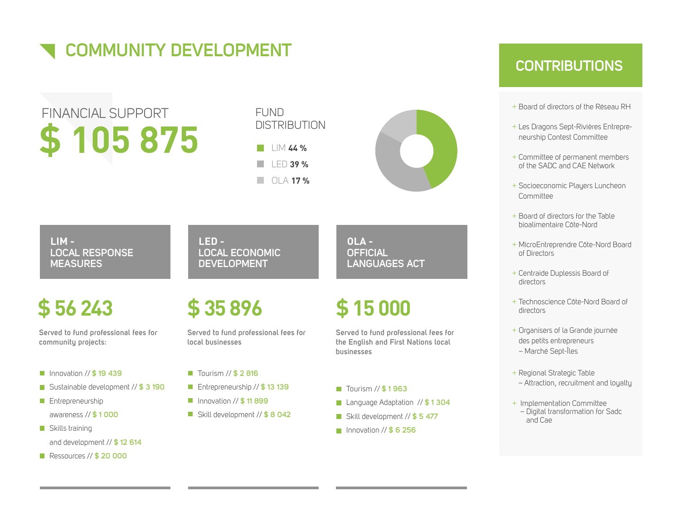

## **\$ 105 875** FINANCIAL SUPPORT



LIM **44 %** LED **39 %** OLA **17 %**



 **LIM - LOCAL RESPONSE MEASURES**

### **LED - LOCAL ECONOMIC DEVELOPMENT**

## **\$ 56 243**

**Served to fund professional fees for community projects:**

- Innovation // **\$ 19 439**
- Sustainable development // **\$ 3 190**
- **Entrepreneurship** awareness // **\$ 1 000**
- Skills training and development // **\$ 12 614**
- Ressources // **\$ 20 000**

## **\$ 35 896**

**Served to fund professional fees for local businesses**

- Tourism // **\$ 2 816**
- Entrepreneurship // **\$ 13 139**
- Innovation // **\$ 11 899**
- Skill development // **\$ 8 042**

 **OLA - OFFICIAL LANGUAGES ACT** 

## **\$ 15 000**

**Served to fund professional fees for the English and First Nations local businesses** 

- Tourism // **\$ 1 963**
- Language Adaptation // **\$ 1 304**
- Skill development // **\$ 5 477**
- Innovation // **\$ 6 256**

### **CONTRIBUTIONS**

- + Board of directors of the Réseau RH
- + Les Dragons Sept-Rivières Entrepreneurship Contest Committee
- + Committee of permanent members of the SADC and CAE Network
- + Socioeconomic Players Luncheon Committee
- + Board of directors for the Table bioalimentaire Côte-Nord
- + MicroEntreprendre Côte-Nord Board of Directors
- + Centraide Duplessis Board of directors
- + Technoscience Côte-Nord Board of directors
- + Organisers of la Grande journée des petits entrepreneurs – Marché Sept-Îles
- + Regional Strategic Table – Attraction, recruitment and loyalty
- + Implementation Committee – Digital transformation for Sadc and Cae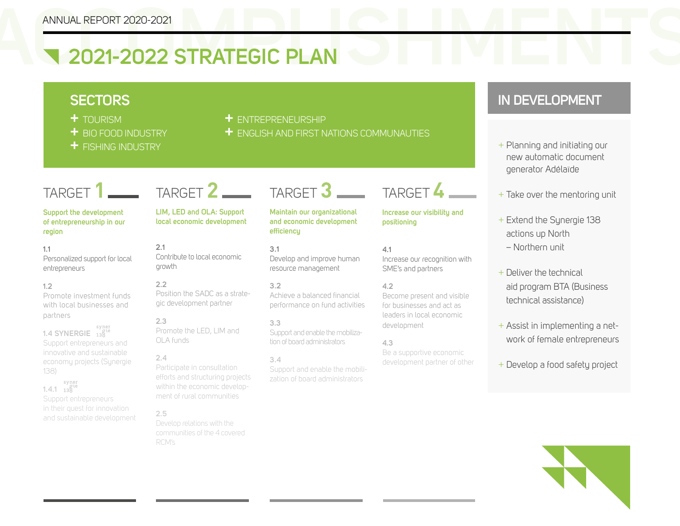# **ANNUAL REPORT 2020-2021**<br> **Example 2021-2022 STRATEGIC PLAN 2021-2022 STRATEGIC PLAN**

- 
- 
- 
- **+** TOURISM **+** ENTREPRENEURSHIP
- **+** BIO FOOD INDUSTRY **+** ENGLISH AND FIRST NATIONS COMMUNAUTIES

### TARGET **1**

### **Support the development of entrepreneurship in our region**

### **1.1**  Personalized support for local entrepreneurs

### **1.2**

Promote investment funds with local businesses and partners

### 1.4 SYNERGIE <sup>syner</sup> Support entrepreneurs and innovative and sustainable economy projects (Synergie 138)

<sup>syner</sup><br>1.4.1 138 Support entrepreneurs and sustainable development

## TARGET **2**

**LIM, LED and OLA: Support local economic development**

**2.1** Contribute to local economic growth

### **2.2** Position the SADC as a strategic development partner

**2.3** Promote the LED, LIM and OLA funds

### **2.4**

Participate in consultation efforts and structuring projects within the economic development of rural communities

### **2.5**

communities of the 4 covered RCM's

TARGET **3**

**Maintain our organizational and economic development efficiency** 

**3.1** Develop and improve human resource management

### **3.2**

Achieve a balanced financial performance on fund activities

### **3.3**

Support and enable the mobilization of board administrators

### **3.4**

Support and enable the mobilization of board administrators

### TARGET **4**

**Increase our visibility and positioning** 

### **4.1** Increase our recognition with SME's and partners

### **4.2**

Become present and visible for businesses and act as leaders in local economic development

### **4.3**

Be a supportive economic development partner of other

### **SECTORS IN DEVELOPMENT**

- **+** FISHING INDUSTRY <sup>+</sup> Planning and initiating our new automatic document generator Adélaïde
	- + Take over the mentoring unit
	- + Extend the Synergie 138 actions up North – Northern unit
	- + Deliver the technical aid program BTA (Business technical assistance)
	- + Assist in implementing a network of female entrepreneurs
	- + Develop a food safety project